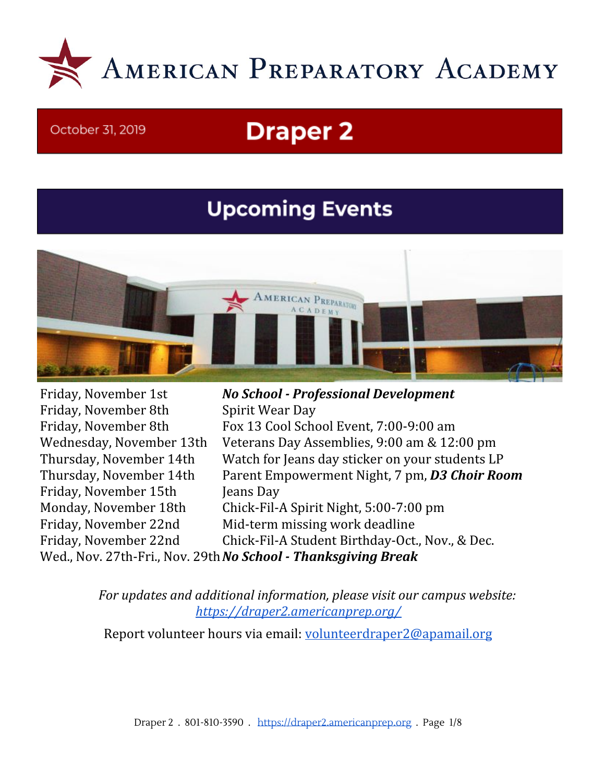

#### October 31, 2019

# **Draper 2**

## **Upcoming Events**



Friday, November 8th Spirit Wear Day Friday, November 15th Jeans Day

Friday, November 1st *No School - Professional Development* Friday, November 8th Fox 13 Cool School Event, 7:00-9:00 am Wednesday, November 13th Veterans Day Assemblies, 9:00 am & 12:00 pm Thursday, November 14th Watch for Jeans day sticker on your students LP Thursday, November 14th Parent Empowerment Night, 7 pm, *D3 Choir Room* Monday, November 18th Chick-Fil-A Spirit Night, 5:00-7:00 pm Friday, November 22nd Mid-term missing work deadline Friday, November 22nd Chick-Fil-A Student Birthday-Oct., Nov., & Dec.

Wed., Nov. 27th-Fri., Nov. 29th*No School - Thanksgiving Break*

*For updates and additional information, please visit our campus website: <https://draper2.americanprep.org/>*

Report volunteer hours via email: [volunteerdraper2@apamail.org](mailto:volunteerdraper2@apamail.org)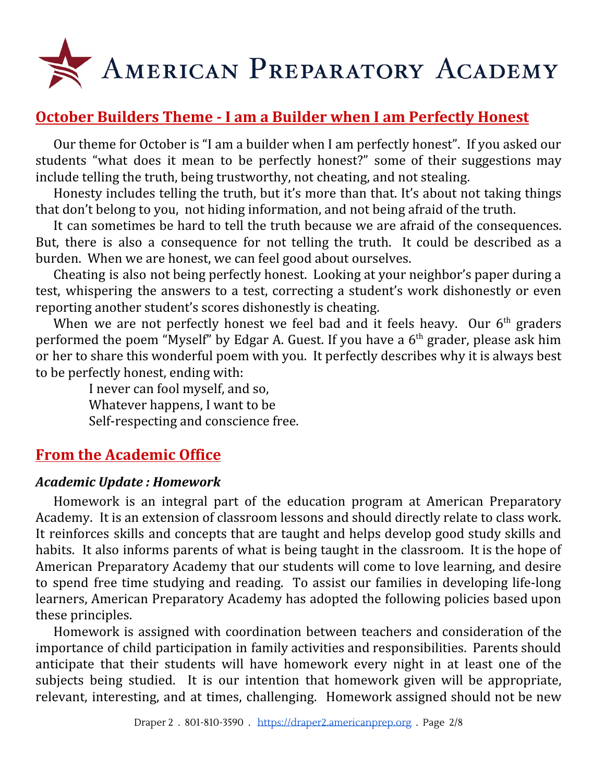

## **October Builders Theme - I am a Builder when I am Perfectly Honest**

Our theme for October is "I am a builder when I am perfectly honest". If you asked our students "what does it mean to be perfectly honest?" some of their suggestions may include telling the truth, being trustworthy, not cheating, and not stealing.

Honesty includes telling the truth, but it's more than that. It's about not taking things that don't belong to you, not hiding information, and not being afraid of the truth.

It can sometimes be hard to tell the truth because we are afraid of the consequences. But, there is also a consequence for not telling the truth. It could be described as a burden. When we are honest, we can feel good about ourselves.

Cheating is also not being perfectly honest. Looking at your neighbor's paper during a test, whispering the answers to a test, correcting a student's work dishonestly or even reporting another student's scores dishonestly is cheating.

When we are not perfectly honest we feel bad and it feels heavy. Our  $6<sup>th</sup>$  graders performed the poem "Myself" by Edgar A. Guest. If you have a 6<sup>th</sup> grader, please ask him or her to share this wonderful poem with you. It perfectly describes why it is always best to be perfectly honest, ending with:

> I never can fool myself, and so, Whatever happens, I want to be Self-respecting and conscience free.

## **From the Academic Office**

#### *Academic Update : Homework*

Homework is an integral part of the education program at American Preparatory Academy. It is an extension of classroom lessons and should directly relate to class work. It reinforces skills and concepts that are taught and helps develop good study skills and habits. It also informs parents of what is being taught in the classroom. It is the hope of American Preparatory Academy that our students will come to love learning, and desire to spend free time studying and reading. To assist our families in developing life-long learners, American Preparatory Academy has adopted the following policies based upon these principles.

Homework is assigned with coordination between teachers and consideration of the importance of child participation in family activities and responsibilities. Parents should anticipate that their students will have homework every night in at least one of the subjects being studied. It is our intention that homework given will be appropriate, relevant, interesting, and at times, challenging. Homework assigned should not be new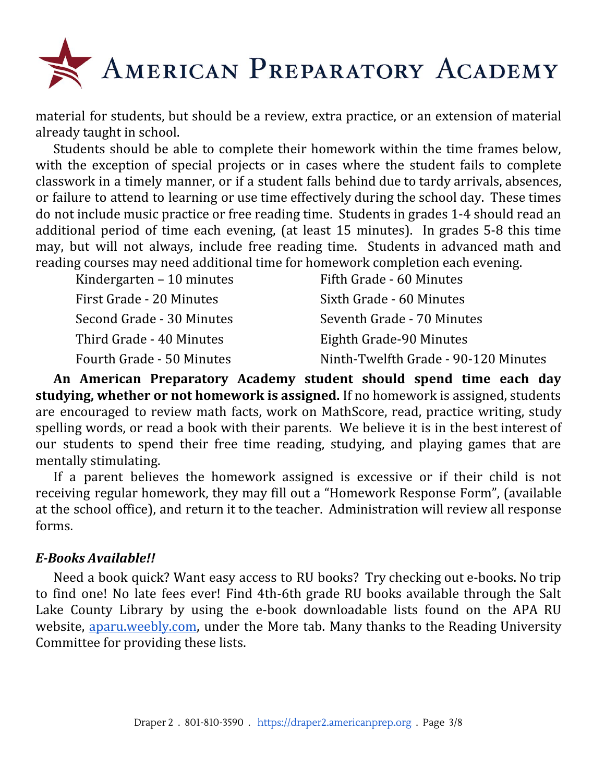

material for students, but should be a review, extra practice, or an extension of material already taught in school.

Students should be able to complete their homework within the time frames below, with the exception of special projects or in cases where the student fails to complete classwork in a timely manner, or if a student falls behind due to tardy arrivals, absences, or failure to attend to learning or use time effectively during the school day. These times do not include music practice or free reading time. Students in grades 1-4 should read an additional period of time each evening, (at least 15 minutes). In grades 5-8 this time may, but will not always, include free reading time. Students in advanced math and reading courses may need additional time for homework completion each evening.

| Kindergarten $-10$ minutes | Fifth Grade - 60 Minutes             |
|----------------------------|--------------------------------------|
| First Grade - 20 Minutes   | Sixth Grade - 60 Minutes             |
| Second Grade - 30 Minutes  | Seventh Grade - 70 Minutes           |
| Third Grade - 40 Minutes   | Eighth Grade-90 Minutes              |
| Fourth Grade - 50 Minutes  | Ninth-Twelfth Grade - 90-120 Minutes |

**An American Preparatory Academy student should spend time each day studying, whether or not homework is assigned.** If no homework is assigned, students are encouraged to review math facts, work on MathScore, read, practice writing, study spelling words, or read a book with their parents. We believe it is in the best interest of our students to spend their free time reading, studying, and playing games that are mentally stimulating.

If a parent believes the homework assigned is excessive or if their child is not receiving regular homework, they may fill out a "Homework Response Form", (available at the school office), and return it to the teacher. Administration will review all response forms.

#### *E-Books Available!!*

Need a book quick? Want easy access to RU books? Try checking out e-books. No trip to find one! No late fees ever! Find 4th-6th grade RU books available through the Salt Lake County Library by using the e-book downloadable lists found on the APA RU website, [aparu.weebly.com,](http://aparu.weebly.com/) under the More tab. Many thanks to the Reading University Committee for providing these lists.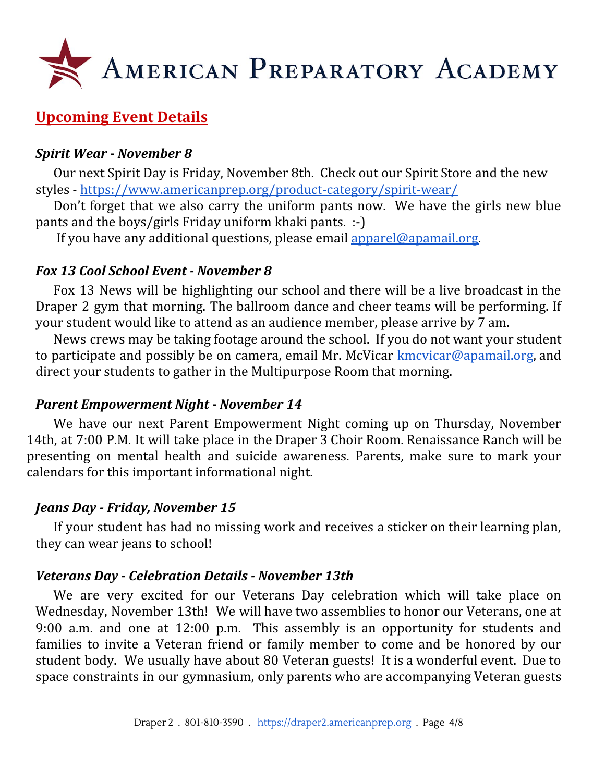

## **Upcoming Event Details**

#### *Spirit Wear - November 8*

Our next Spirit Day is Friday, November 8th. Check out our Spirit Store and the new styles - <https://www.americanprep.org/product-category/spirit-wear/>

Don't forget that we also carry the uniform pants now. We have the girls new blue pants and the boys/girls Friday uniform khaki pants. :-)

If you have any additional questions, please email [apparel@apamail.org](mailto:apparel@apamail.org).

#### *Fox 13 Cool School Event - November 8*

Fox 13 News will be highlighting our school and there will be a live broadcast in the Draper 2 gym that morning. The ballroom dance and cheer teams will be performing. If your student would like to attend as an audience member, please arrive by 7 am.

News crews may be taking footage around the school. If you do not want your student to participate and possibly be on camera, email Mr. McVicar  $kmcvicar@apamail.org$ , and direct your students to gather in the Multipurpose Room that morning.

#### *Parent Empowerment Night - November 14*

We have our next Parent Empowerment Night coming up on Thursday, November 14th, at 7:00 P.M. It will take place in the Draper 3 Choir Room. Renaissance Ranch will be presenting on mental health and suicide awareness. Parents, make sure to mark your calendars for this important informational night.

#### *Jeans Day - Friday, November 15*

If your student has had no missing work and receives a sticker on their learning plan, they can wear jeans to school!

#### *Veterans Day - Celebration Details - November 13th*

We are very excited for our Veterans Day celebration which will take place on Wednesday, November 13th! We will have two assemblies to honor our Veterans, one at 9:00 a.m. and one at 12:00 p.m. This assembly is an opportunity for students and families to invite a Veteran friend or family member to come and be honored by our student body. We usually have about 80 Veteran guests! It is a wonderful event. Due to space constraints in our gymnasium, only parents who are accompanying Veteran guests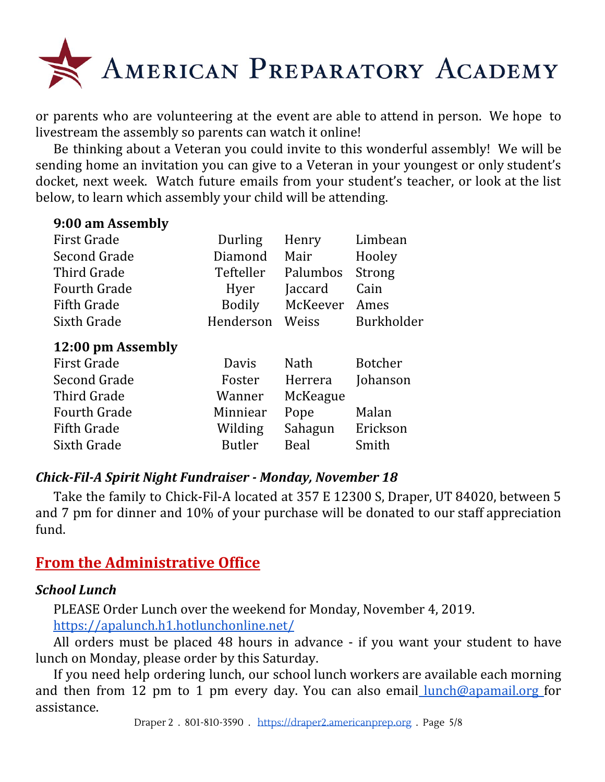

or parents who are volunteering at the event are able to attend in person. We hope to livestream the assembly so parents can watch it online!

Be thinking about a Veteran you could invite to this wonderful assembly! We will be sending home an invitation you can give to a Veteran in your youngest or only student's docket, next week. Watch future emails from your student's teacher, or look at the list below, to learn which assembly your child will be attending.

| Durling   | Henry    | Limbean        |
|-----------|----------|----------------|
| Diamond   | Mair     | Hooley         |
| Tefteller | Palumbos | Strong         |
| Hyer      | Jaccard  | Cain           |
| Bodily    | McKeever | Ames           |
| Henderson | Weiss    | Burkholder     |
|           |          |                |
|           |          |                |
| Davis     | Nath     | <b>Botcher</b> |
| Foster    | Herrera  | Johanson       |
| Wanner    | McKeague |                |
| Minniear  | Pope     | Malan          |
| Wilding   | Sahagun  | Erickson       |
|           |          |                |

#### *Chick-Fil-A Spirit Night Fundraiser - Monday, November 18*

Take the family to Chick-Fil-A located at 357 E 12300 S, Draper, UT 84020, between 5 and 7 pm for dinner and 10% of your purchase will be donated to our staff appreciation fund.

## **From the Administrative Office**

**9:00 am Assembly**

#### *School Lunch*

PLEASE Order Lunch over the weekend for Monday, November 4, 2019. <https://apalunch.h1.hotlunchonline.net/>

All orders must be placed 48 hours in advance - if you want your student to have lunch on Monday, please order by this Saturday.

If you need help ordering lunch, our school lunch workers are available each morning and then from 12 pm to 1 pm every day. You can also email [lunch@apamail.org](mailto:lunch@apamail.org) for assistance.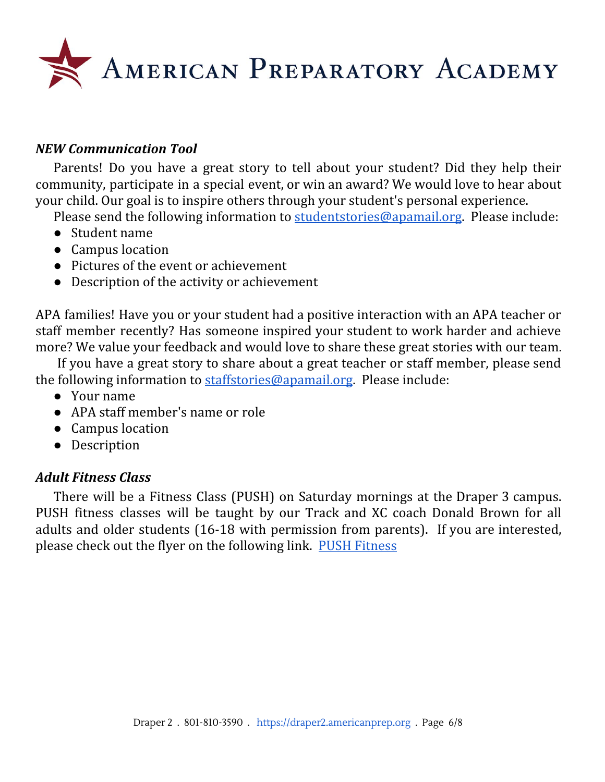

#### *NEW Communication Tool*

Parents! Do you have a great story to tell about your student? Did they help their community, participate in a special event, or win an award? We would love to hear about your child. Our goal is to inspire others through your student's personal experience.

Please send the following information to [studentstories@apamail.org](mailto:studentstories@apamail.org). Please include:

- Student name
- Campus location
- Pictures of the event or achievement
- Description of the activity or achievement

APA families! Have you or your student had a positive interaction with an APA teacher or staff member recently? Has someone inspired your student to work harder and achieve more? We value your feedback and would love to share these great stories with our team.

If you have a great story to share about a great teacher or staff member, please send the following information to [staffstories@apamail.org](mailto:staffstories@apamail.org). Please include:

- Your name
- APA staff member's name or role
- Campus location
- Description

#### *Adult Fitness Class*

There will be a Fitness Class (PUSH) on Saturday mornings at the Draper 3 campus. PUSH fitness classes will be taught by our Track and XC coach Donald Brown for all adults and older students (16-18 with permission from parents). If you are interested, please check out the flyer on the following link. PUSH [Fitness](https://draper2.americanprep.org/wp-content/uploads/sites/3/2019/10/PUSH-PROGRAM.pdf)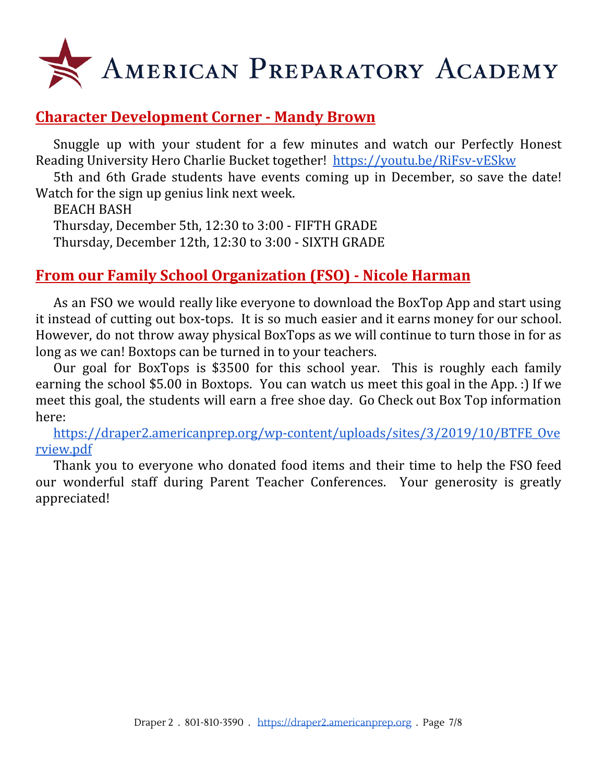

## **Character Development Corner - Mandy Brown**

Snuggle up with your student for a few minutes and watch our Perfectly Honest Reading University Hero Charlie Bucket together! <https://youtu.be/RiFsv-vESkw>

5th and 6th Grade students have events coming up in December, so save the date! Watch for the sign up genius link next week.

BEACH BASH

Thursday, December 5th, 12:30 to 3:00 - FIFTH GRADE Thursday, December 12th, 12:30 to 3:00 - SIXTH GRADE

## **From our Family School Organization (FSO) - Nicole Harman**

As an FSO we would really like everyone to download the BoxTop App and start using it instead of cutting out box-tops. It is so much easier and it earns money for our school. However, do not throw away physical BoxTops as we will continue to turn those in for as long as we can! Boxtops can be turned in to your teachers.

Our goal for BoxTops is \$3500 for this school year. This is roughly each family earning the school \$5.00 in Boxtops. You can watch us meet this goal in the App. :) If we meet this goal, the students will earn a free shoe day. Go Check out Box Top information here:

[https://draper2.americanprep.org/wp-content/uploads/sites/3/2019/10/BTFE\\_Ove](https://draper2.americanprep.org/wp-content/uploads/sites/3/2019/10/BTFE_Overview.pdf) [rview.pdf](https://draper2.americanprep.org/wp-content/uploads/sites/3/2019/10/BTFE_Overview.pdf)

Thank you to everyone who donated food items and their time to help the FSO feed our wonderful staff during Parent Teacher Conferences. Your generosity is greatly appreciated!